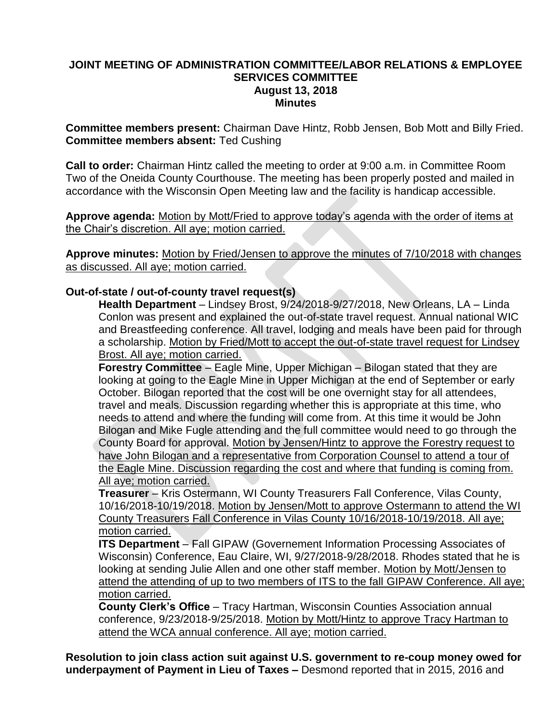## **JOINT MEETING OF ADMINISTRATION COMMITTEE/LABOR RELATIONS & EMPLOYEE SERVICES COMMITTEE August 13, 2018 Minutes**

**Committee members present:** Chairman Dave Hintz, Robb Jensen, Bob Mott and Billy Fried. **Committee members absent:** Ted Cushing

**Call to order:** Chairman Hintz called the meeting to order at 9:00 a.m. in Committee Room Two of the Oneida County Courthouse. The meeting has been properly posted and mailed in accordance with the Wisconsin Open Meeting law and the facility is handicap accessible.

**Approve agenda:** Motion by Mott/Fried to approve today's agenda with the order of items at the Chair's discretion. All aye; motion carried.

**Approve minutes:** Motion by Fried/Jensen to approve the minutes of 7/10/2018 with changes as discussed. All aye; motion carried.

## **Out-of-state / out-of-county travel request(s)**

**Health Department** – Lindsey Brost, 9/24/2018-9/27/2018, New Orleans, LA – Linda Conlon was present and explained the out-of-state travel request. Annual national WIC and Breastfeeding conference. All travel, lodging and meals have been paid for through a scholarship. Motion by Fried/Mott to accept the out-of-state travel request for Lindsey Brost. All aye; motion carried.

**Forestry Committee** – Eagle Mine, Upper Michigan – Bilogan stated that they are looking at going to the Eagle Mine in Upper Michigan at the end of September or early October. Bilogan reported that the cost will be one overnight stay for all attendees, travel and meals. Discussion regarding whether this is appropriate at this time, who needs to attend and where the funding will come from. At this time it would be John Bilogan and Mike Fugle attending and the full committee would need to go through the County Board for approval. Motion by Jensen/Hintz to approve the Forestry request to have John Bilogan and a representative from Corporation Counsel to attend a tour of the Eagle Mine. Discussion regarding the cost and where that funding is coming from. All aye; motion carried.

**Treasurer** – Kris Ostermann, WI County Treasurers Fall Conference, Vilas County, 10/16/2018-10/19/2018. Motion by Jensen/Mott to approve Ostermann to attend the WI County Treasurers Fall Conference in Vilas County 10/16/2018-10/19/2018. All aye; motion carried.

**ITS Department** – Fall GIPAW (Governement Information Processing Associates of Wisconsin) Conference, Eau Claire, WI, 9/27/2018-9/28/2018. Rhodes stated that he is looking at sending Julie Allen and one other staff member. Motion by Mott/Jensen to attend the attending of up to two members of ITS to the fall GIPAW Conference. All aye; motion carried.

**County Clerk's Office** – Tracy Hartman, Wisconsin Counties Association annual conference, 9/23/2018-9/25/2018. Motion by Mott/Hintz to approve Tracy Hartman to attend the WCA annual conference. All aye; motion carried.

**Resolution to join class action suit against U.S. government to re-coup money owed for underpayment of Payment in Lieu of Taxes –** Desmond reported that in 2015, 2016 and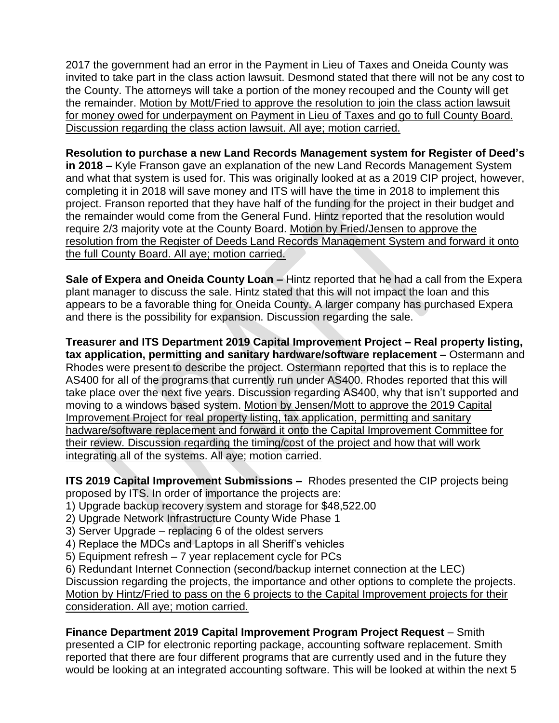2017 the government had an error in the Payment in Lieu of Taxes and Oneida County was invited to take part in the class action lawsuit. Desmond stated that there will not be any cost to the County. The attorneys will take a portion of the money recouped and the County will get the remainder. Motion by Mott/Fried to approve the resolution to join the class action lawsuit for money owed for underpayment on Payment in Lieu of Taxes and go to full County Board. Discussion regarding the class action lawsuit. All aye; motion carried.

**Resolution to purchase a new Land Records Management system for Register of Deed's in 2018 –** Kyle Franson gave an explanation of the new Land Records Management System and what that system is used for. This was originally looked at as a 2019 CIP project, however, completing it in 2018 will save money and ITS will have the time in 2018 to implement this project. Franson reported that they have half of the funding for the project in their budget and the remainder would come from the General Fund. Hintz reported that the resolution would require 2/3 majority vote at the County Board. Motion by Fried/Jensen to approve the resolution from the Register of Deeds Land Records Management System and forward it onto the full County Board. All aye; motion carried.

**Sale of Expera and Oneida County Loan –** Hintz reported that he had a call from the Expera plant manager to discuss the sale. Hintz stated that this will not impact the loan and this appears to be a favorable thing for Oneida County. A larger company has purchased Expera and there is the possibility for expansion. Discussion regarding the sale.

**Treasurer and ITS Department 2019 Capital Improvement Project – Real property listing, tax application, permitting and sanitary hardware/software replacement –** Ostermann and Rhodes were present to describe the project. Ostermann reported that this is to replace the AS400 for all of the programs that currently run under AS400. Rhodes reported that this will take place over the next five years. Discussion regarding AS400, why that isn't supported and moving to a windows based system. Motion by Jensen/Mott to approve the 2019 Capital Improvement Project for real property listing, tax application, permitting and sanitary hadware/software replacement and forward it onto the Capital Improvement Committee for their review. Discussion regarding the timing/cost of the project and how that will work integrating all of the systems. All aye; motion carried.

**ITS 2019 Capital Improvement Submissions –** Rhodes presented the CIP projects being proposed by ITS. In order of importance the projects are:

- 1) Upgrade backup recovery system and storage for \$48,522.00
- 2) Upgrade Network Infrastructure County Wide Phase 1
- 3) Server Upgrade replacing 6 of the oldest servers
- 4) Replace the MDCs and Laptops in all Sheriff's vehicles
- 5) Equipment refresh 7 year replacement cycle for PCs

6) Redundant Internet Connection (second/backup internet connection at the LEC)

Discussion regarding the projects, the importance and other options to complete the projects. Motion by Hintz/Fried to pass on the 6 projects to the Capital Improvement projects for their consideration. All aye; motion carried.

**Finance Department 2019 Capital Improvement Program Project Request – Smith** presented a CIP for electronic reporting package, accounting software replacement. Smith reported that there are four different programs that are currently used and in the future they would be looking at an integrated accounting software. This will be looked at within the next 5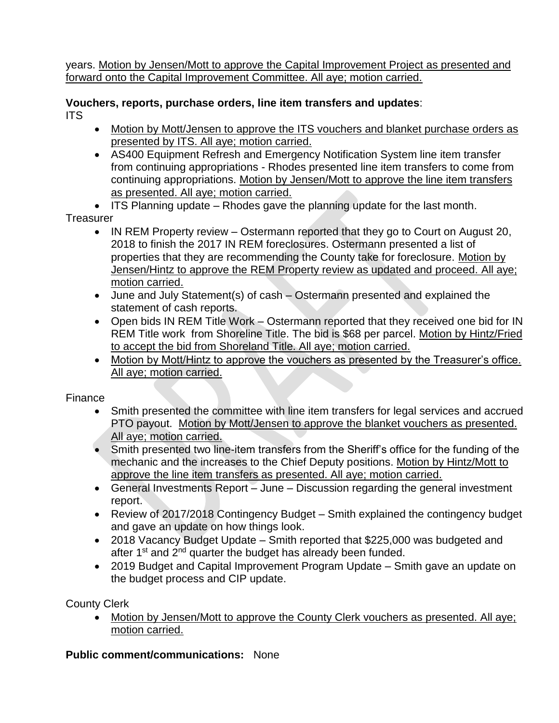years. Motion by Jensen/Mott to approve the Capital Improvement Project as presented and forward onto the Capital Improvement Committee. All aye; motion carried.

**Vouchers, reports, purchase orders, line item transfers and updates**: ITS

- Motion by Mott/Jensen to approve the ITS vouchers and blanket purchase orders as presented by ITS. All aye; motion carried.
- AS400 Equipment Refresh and Emergency Notification System line item transfer from continuing appropriations - Rhodes presented line item transfers to come from continuing appropriations. Motion by Jensen/Mott to approve the line item transfers as presented. All aye; motion carried.
- ITS Planning update Rhodes gave the planning update for the last month.

Treasurer

- IN REM Property review Ostermann reported that they go to Court on August 20, 2018 to finish the 2017 IN REM foreclosures. Ostermann presented a list of properties that they are recommending the County take for foreclosure. Motion by Jensen/Hintz to approve the REM Property review as updated and proceed. All aye; motion carried.
- June and July Statement(s) of cash Ostermann presented and explained the statement of cash reports.
- Open bids IN REM Title Work Ostermann reported that they received one bid for IN REM Title work from Shoreline Title. The bid is \$68 per parcel. Motion by Hintz/Fried to accept the bid from Shoreland Title. All aye; motion carried.
- Motion by Mott/Hintz to approve the vouchers as presented by the Treasurer's office. All aye; motion carried.

Finance

- Smith presented the committee with line item transfers for legal services and accrued PTO payout. Motion by Mott/Jensen to approve the blanket vouchers as presented. All aye; motion carried.
- Smith presented two line-item transfers from the Sheriff's office for the funding of the mechanic and the increases to the Chief Deputy positions. Motion by Hintz/Mott to approve the line item transfers as presented. All aye; motion carried.
- General Investments Report June Discussion regarding the general investment report.
- Review of 2017/2018 Contingency Budget Smith explained the contingency budget and gave an update on how things look.
- 2018 Vacancy Budget Update Smith reported that \$225,000 was budgeted and after 1<sup>st</sup> and 2<sup>nd</sup> quarter the budget has already been funded.
- 2019 Budget and Capital Improvement Program Update Smith gave an update on the budget process and CIP update.

County Clerk

• Motion by Jensen/Mott to approve the County Clerk vouchers as presented. All aye; motion carried.

**Public comment/communications:** None